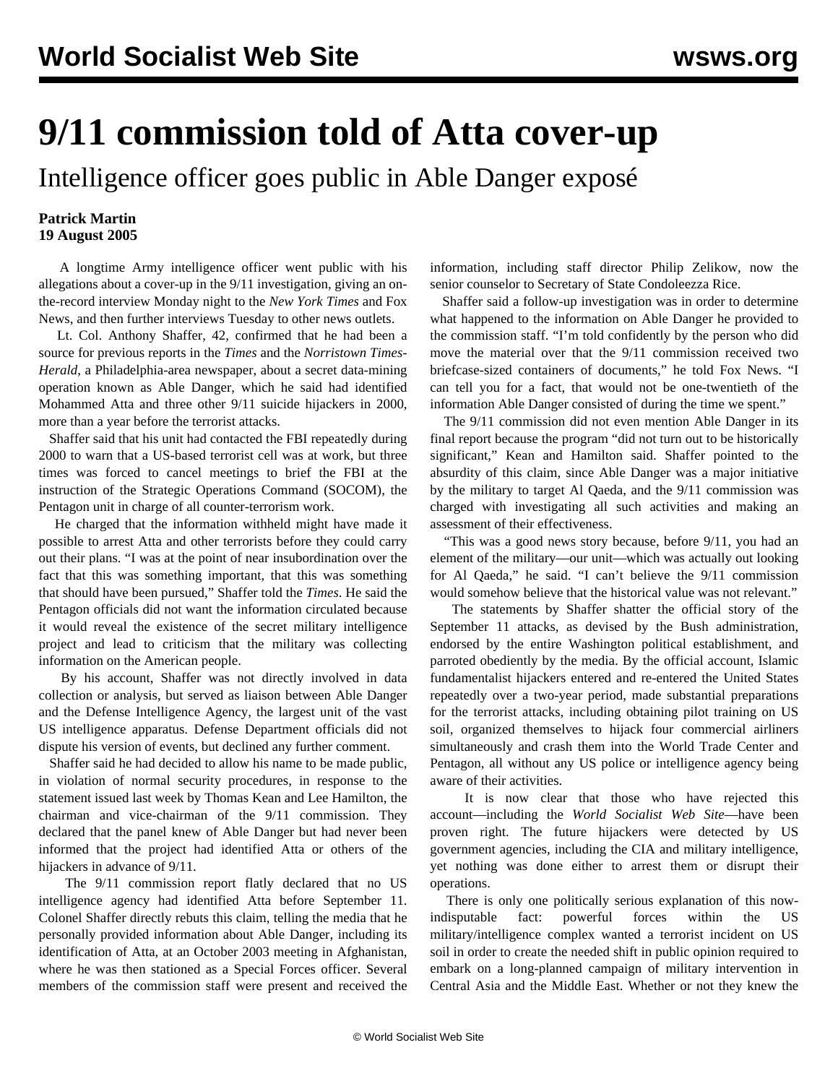## **9/11 commission told of Atta cover-up**

Intelligence officer goes public in Able Danger exposé

## **Patrick Martin 19 August 2005**

 A longtime Army intelligence officer went public with his allegations about a cover-up in the 9/11 investigation, giving an onthe-record interview Monday night to the *New York Times* and Fox News, and then further interviews Tuesday to other news outlets.

 Lt. Col. Anthony Shaffer, 42, confirmed that he had been a source for previous reports in the *Times* and the *Norristown Times-Herald*, a Philadelphia-area newspaper, about a secret data-mining operation known as Able Danger, which he said had identified Mohammed Atta and three other 9/11 suicide hijackers in 2000, more than a year before the terrorist attacks.

 Shaffer said that his unit had contacted the FBI repeatedly during 2000 to warn that a US-based terrorist cell was at work, but three times was forced to cancel meetings to brief the FBI at the instruction of the Strategic Operations Command (SOCOM), the Pentagon unit in charge of all counter-terrorism work.

 He charged that the information withheld might have made it possible to arrest Atta and other terrorists before they could carry out their plans. "I was at the point of near insubordination over the fact that this was something important, that this was something that should have been pursued," Shaffer told the *Times*. He said the Pentagon officials did not want the information circulated because it would reveal the existence of the secret military intelligence project and lead to criticism that the military was collecting information on the American people.

 By his account, Shaffer was not directly involved in data collection or analysis, but served as liaison between Able Danger and the Defense Intelligence Agency, the largest unit of the vast US intelligence apparatus. Defense Department officials did not dispute his version of events, but declined any further comment.

 Shaffer said he had decided to allow his name to be made public, in violation of normal security procedures, in response to the statement issued last week by Thomas Kean and Lee Hamilton, the chairman and vice-chairman of the 9/11 commission. They declared that the panel knew of Able Danger but had never been informed that the project had identified Atta or others of the hijackers in advance of 9/11.

 The 9/11 commission report flatly declared that no US intelligence agency had identified Atta before September 11. Colonel Shaffer directly rebuts this claim, telling the media that he personally provided information about Able Danger, including its identification of Atta, at an October 2003 meeting in Afghanistan, where he was then stationed as a Special Forces officer. Several members of the commission staff were present and received the

information, including staff director Philip Zelikow, now the senior counselor to Secretary of State Condoleezza Rice.

 Shaffer said a follow-up investigation was in order to determine what happened to the information on Able Danger he provided to the commission staff. "I'm told confidently by the person who did move the material over that the 9/11 commission received two briefcase-sized containers of documents," he told Fox News. "I can tell you for a fact, that would not be one-twentieth of the information Able Danger consisted of during the time we spent."

 The 9/11 commission did not even mention Able Danger in its final report because the program "did not turn out to be historically significant," Kean and Hamilton said. Shaffer pointed to the absurdity of this claim, since Able Danger was a major initiative by the military to target Al Qaeda, and the 9/11 commission was charged with investigating all such activities and making an assessment of their effectiveness.

 "This was a good news story because, before 9/11, you had an element of the military—our unit—which was actually out looking for Al Qaeda," he said. "I can't believe the 9/11 commission would somehow believe that the historical value was not relevant."

 The statements by Shaffer shatter the official story of the September 11 attacks, as devised by the Bush administration, endorsed by the entire Washington political establishment, and parroted obediently by the media. By the official account, Islamic fundamentalist hijackers entered and re-entered the United States repeatedly over a two-year period, made substantial preparations for the terrorist attacks, including obtaining pilot training on US soil, organized themselves to hijack four commercial airliners simultaneously and crash them into the World Trade Center and Pentagon, all without any US police or intelligence agency being aware of their activities.

 It is now clear that those who have rejected this account—including the *World Socialist Web Site*—have been proven right. The future hijackers were detected by US government agencies, including the CIA and military intelligence, yet nothing was done either to arrest them or disrupt their operations.

 There is only one politically serious explanation of this nowindisputable fact: powerful forces within the US military/intelligence complex wanted a terrorist incident on US soil in order to create the needed shift in public opinion required to embark on a long-planned campaign of military intervention in Central Asia and the Middle East. Whether or not they knew the